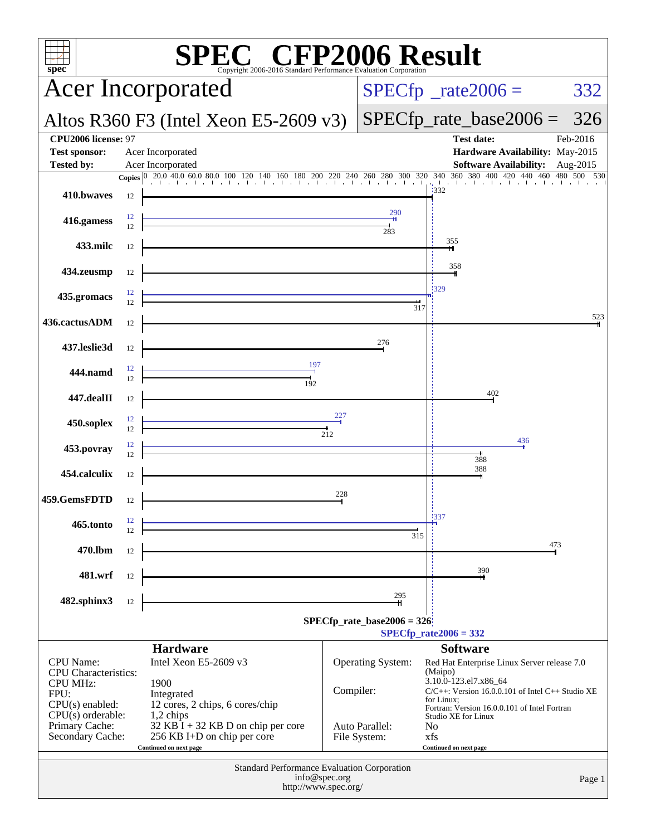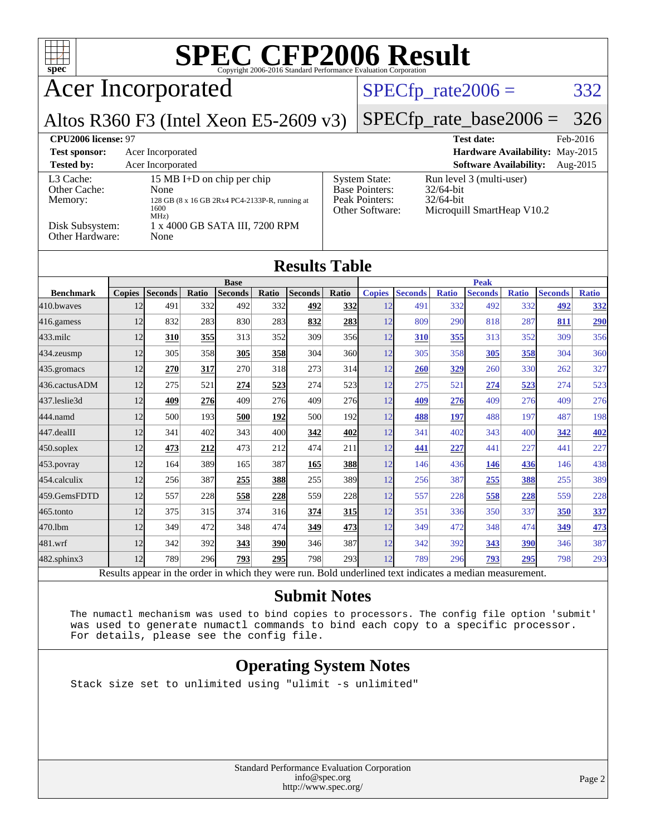| $\text{SPE}_{\text{Copyright 2006-2016 Standard Performance Evaluation Corporation}}$<br>$spec^*$ |                                                        |                       |              |                                |              |                                               |                                               |                      |                       |                     |                               |                     |                                 |                     |
|---------------------------------------------------------------------------------------------------|--------------------------------------------------------|-----------------------|--------------|--------------------------------|--------------|-----------------------------------------------|-----------------------------------------------|----------------------|-----------------------|---------------------|-------------------------------|---------------------|---------------------------------|---------------------|
| <b>Acer Incorporated</b>                                                                          |                                                        |                       |              |                                |              |                                               |                                               |                      |                       |                     | $SPECfp\_rate2006 =$          |                     |                                 | 332                 |
| Altos R360 F3 (Intel Xeon E5-2609 v3)                                                             |                                                        |                       |              |                                |              |                                               |                                               |                      |                       |                     | $SPECfp_rate\_base2006 =$     |                     |                                 | 326                 |
| CPU2006 license: 97                                                                               |                                                        |                       |              |                                |              |                                               |                                               |                      |                       |                     | <b>Test date:</b>             |                     |                                 | Feb-2016            |
| <b>Test sponsor:</b>                                                                              |                                                        | Acer Incorporated     |              |                                |              |                                               |                                               |                      |                       |                     |                               |                     | Hardware Availability: May-2015 |                     |
| <b>Tested by:</b>                                                                                 |                                                        | Acer Incorporated     |              |                                |              |                                               |                                               |                      |                       |                     | <b>Software Availability:</b> |                     |                                 | Aug-2015            |
| L3 Cache:<br>Other Cache:                                                                         |                                                        |                       |              | 15 MB I+D on chip per chip     |              |                                               |                                               | <b>System State:</b> |                       | 32/64-bit           | Run level 3 (multi-user)      |                     |                                 |                     |
| Memory:                                                                                           | None<br>128 GB (8 x 16 GB 2Rx4 PC4-2133P-R, running at |                       |              |                                |              | Base Pointers:<br>Peak Pointers:<br>32/64-bit |                                               |                      |                       |                     |                               |                     |                                 |                     |
| 1600<br>MHz)                                                                                      |                                                        |                       |              |                                |              |                                               | Other Software:<br>Microquill SmartHeap V10.2 |                      |                       |                     |                               |                     |                                 |                     |
| Disk Subsystem:<br>Other Hardware:                                                                |                                                        | None                  |              | 1 x 4000 GB SATA III, 7200 RPM |              |                                               |                                               |                      |                       |                     |                               |                     |                                 |                     |
| <b>Results Table</b>                                                                              |                                                        |                       |              |                                |              |                                               |                                               |                      |                       |                     |                               |                     |                                 |                     |
|                                                                                                   |                                                        |                       |              | <b>Base</b>                    |              |                                               |                                               |                      |                       |                     | <b>Peak</b>                   |                     |                                 |                     |
| <b>Benchmark</b><br>410.bwaves                                                                    | <b>Copies</b><br>12                                    | <b>Seconds</b><br>491 | Ratio<br>332 | <b>Seconds</b><br>492          | Ratio<br>332 | <b>Seconds</b><br>492                         | <b>Ratio</b><br>332                           | <b>Copies</b><br>12  | <b>Seconds</b><br>491 | <b>Ratio</b><br>332 | <b>Seconds</b><br>492         | <b>Ratio</b><br>332 | <b>Seconds</b><br>492           | <b>Ratio</b><br>332 |
| 416.gamess                                                                                        | 12                                                     | 832                   | 283          | 830                            | 283          | 832                                           | 283                                           | 12                   | 809                   | 290                 | 818                           | 287                 | 811                             | 290                 |
| 433.milc                                                                                          | 12                                                     | 310                   | 355          | 313                            | 352          | 309                                           | 356                                           | 12                   | 310                   | 355                 | 313                           | 352                 | 309                             | 356                 |
| 434.zeusmp                                                                                        | 12                                                     | 305                   | 358          | 305                            | 358          | 304                                           | 360                                           | 12                   | 305                   | 358                 | 305                           | <u>358</u>          | 304                             | 360                 |
| 435.gromacs                                                                                       | 12                                                     | 270                   | 317          | 270                            | 318          | 273                                           | 314                                           | 12                   | <b>260</b>            | 329                 | 260                           | 330                 | 262                             | 327                 |
| 436.cactusADM                                                                                     | 12                                                     | 275                   | 521          | 274                            | 523          | 274                                           | 523                                           | 12                   | 275                   | 521                 | 274                           | 523                 | 274                             | 523                 |
| 437.leslie3d                                                                                      | 12                                                     | 409                   | 276          | 409                            | 276          | 409                                           | 276                                           | 12                   | 409                   | 276                 | 409                           | 276                 | 409                             | 276                 |
| 444.namd                                                                                          | 12                                                     | 500                   | 193          | 500                            | 192          | 500                                           | 192                                           | 12                   | 488                   | 197                 | 488                           | 197                 | 487                             | 198                 |
| 447.dealII                                                                                        | 12                                                     | 341                   | 402          | 343                            | 400          | 342                                           | 402                                           | 12                   | 341                   | 402                 | 343                           | 400                 | 342                             | 402                 |
| 450.soplex                                                                                        | 12                                                     | 473                   | 212          | 473                            | 212          | 474                                           | 211                                           | 12                   | 441                   | 227                 | 441                           | 227                 | 441                             | 227                 |
| 453.povray                                                                                        | 12                                                     | 164                   | 389          | 165                            | 387          | 165                                           | 388                                           | 12                   | 146                   | 436                 | 146                           | 436                 | 146                             | 438                 |
| 454.calculix                                                                                      | 12                                                     | 256                   | 387          | 255                            | 388          | 255                                           | 389                                           | 12                   | 256                   | 387                 | 255                           | 388                 | 255                             | 389                 |
| 459.GemsFDTD                                                                                      | 12                                                     | 557                   | 228          | 558                            | 228          | 559                                           | 228                                           | 12                   | 557                   | 228                 | 558                           | 228                 | 559                             | 228                 |
| 465.tonto                                                                                         | 12                                                     | 375                   | 315          | 374                            | 316          | 374                                           | 315                                           | 12                   | 351                   | 336                 | 350                           | 337                 | 350                             | 337                 |
| 470.1bm                                                                                           | 12                                                     | 349                   | 472          | 348                            | 474          | 349                                           | 473                                           | 12                   | 349                   | 472                 | 348                           | 474                 | <u>349</u>                      | <u>473</u>          |
| 481.wrf                                                                                           | 12                                                     | 342                   | 392          | 343                            | 390          | 346                                           | 387                                           | 12                   | 342                   | 392                 | 343                           | 390                 | 346                             | 387                 |
| 482.sphinx3                                                                                       | 12                                                     | 789                   | 296          | 793                            | 295          | 798                                           | 293                                           | 12                   | 789                   | 296                 | 793                           | 295                 | 798                             | 293                 |
|                                                                                                   | $\mathbf{L}$                                           |                       |              | $1 + 1 - 1$                    |              |                                               | $n+1$                                         | $\mathbf{1}$         | $\cdot$               |                     |                               |                     |                                 |                     |

Results appear in the [order in which they were run.](http://www.spec.org/auto/cpu2006/Docs/result-fields.html#RunOrder) Bold underlined text [indicates a median measurement.](http://www.spec.org/auto/cpu2006/Docs/result-fields.html#Median)

#### **[Submit Notes](http://www.spec.org/auto/cpu2006/Docs/result-fields.html#SubmitNotes)**

 The numactl mechanism was used to bind copies to processors. The config file option 'submit' was used to generate numactl commands to bind each copy to a specific processor. For details, please see the config file.

#### **[Operating System Notes](http://www.spec.org/auto/cpu2006/Docs/result-fields.html#OperatingSystemNotes)**

Stack size set to unlimited using "ulimit -s unlimited"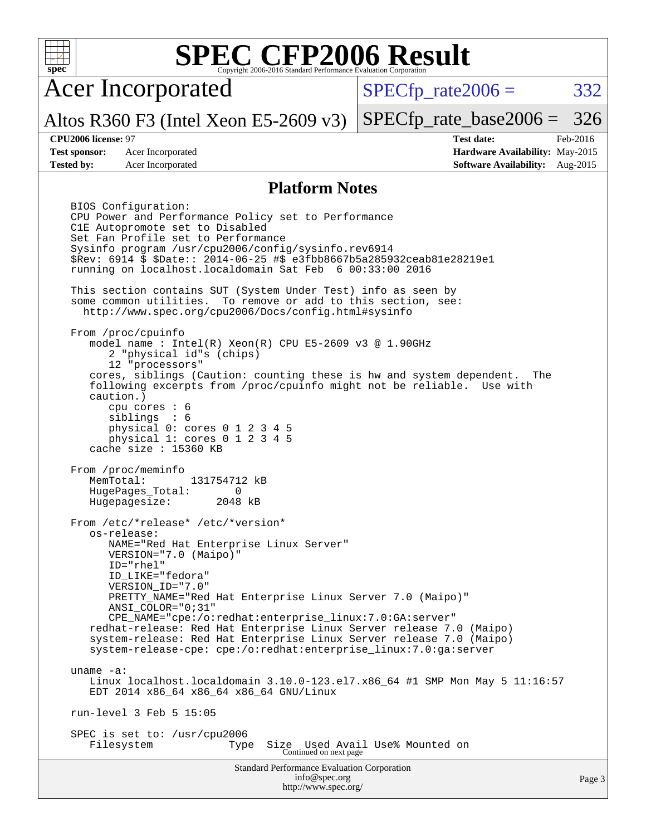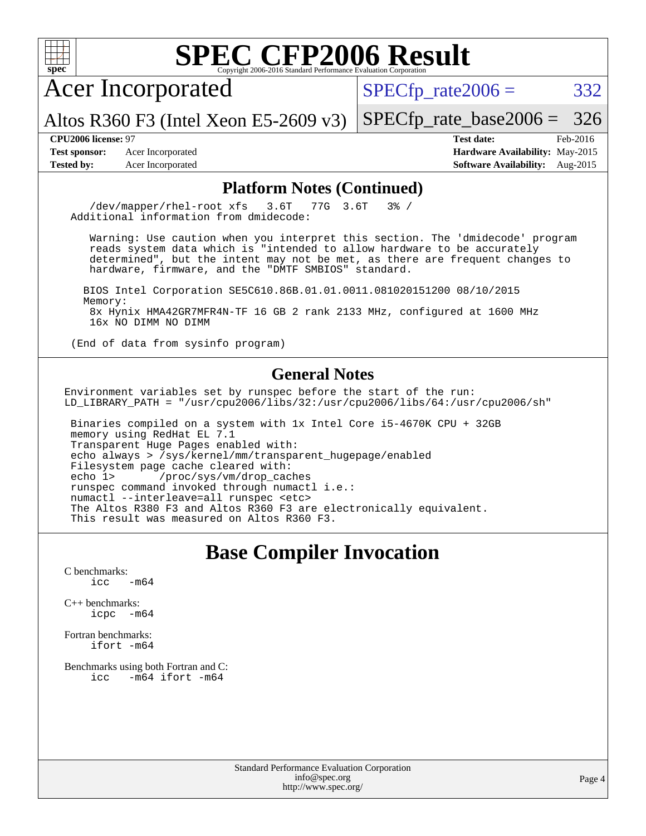

Acer Incorporated

 $SPECTp_rate2006 = 332$ 

[SPECfp\\_rate\\_base2006 =](http://www.spec.org/auto/cpu2006/Docs/result-fields.html#SPECfpratebase2006) 326

Altos R360 F3 (Intel Xeon E5-2609 v3)

**[Test sponsor:](http://www.spec.org/auto/cpu2006/Docs/result-fields.html#Testsponsor)** Acer Incorporated **[Hardware Availability:](http://www.spec.org/auto/cpu2006/Docs/result-fields.html#HardwareAvailability)** May-2015

**[CPU2006 license:](http://www.spec.org/auto/cpu2006/Docs/result-fields.html#CPU2006license)** 97 **[Test date:](http://www.spec.org/auto/cpu2006/Docs/result-fields.html#Testdate)** Feb-2016 **[Tested by:](http://www.spec.org/auto/cpu2006/Docs/result-fields.html#Testedby)** Acer Incorporated **[Software Availability:](http://www.spec.org/auto/cpu2006/Docs/result-fields.html#SoftwareAvailability)** Aug-2015

#### **[Platform Notes \(Continued\)](http://www.spec.org/auto/cpu2006/Docs/result-fields.html#PlatformNotes)**

 /dev/mapper/rhel-root xfs 3.6T 77G 3.6T 3% / Additional information from dmidecode:

 Warning: Use caution when you interpret this section. The 'dmidecode' program reads system data which is "intended to allow hardware to be accurately determined", but the intent may not be met, as there are frequent changes to hardware, firmware, and the "DMTF SMBIOS" standard.

 BIOS Intel Corporation SE5C610.86B.01.01.0011.081020151200 08/10/2015 Memory: 8x Hynix HMA42GR7MFR4N-TF 16 GB 2 rank 2133 MHz, configured at 1600 MHz 16x NO DIMM NO DIMM

(End of data from sysinfo program)

#### **[General Notes](http://www.spec.org/auto/cpu2006/Docs/result-fields.html#GeneralNotes)**

Environment variables set by runspec before the start of the run: LD\_LIBRARY\_PATH = "/usr/cpu2006/libs/32:/usr/cpu2006/libs/64:/usr/cpu2006/sh"

 Binaries compiled on a system with 1x Intel Core i5-4670K CPU + 32GB memory using RedHat EL 7.1 Transparent Huge Pages enabled with: echo always > /sys/kernel/mm/transparent\_hugepage/enabled Filesystem page cache cleared with:<br>echo 1> /proc/sys/vm/drop cac /proc/sys/vm/drop\_caches runspec command invoked through numactl i.e.: numactl --interleave=all runspec <etc> The Altos R380 F3 and Altos R360 F3 are electronically equivalent. This result was measured on Altos R360 F3.

## **[Base Compiler Invocation](http://www.spec.org/auto/cpu2006/Docs/result-fields.html#BaseCompilerInvocation)**

[C benchmarks](http://www.spec.org/auto/cpu2006/Docs/result-fields.html#Cbenchmarks):  $\text{icc}$   $-\text{m64}$ 

[C++ benchmarks:](http://www.spec.org/auto/cpu2006/Docs/result-fields.html#CXXbenchmarks) [icpc -m64](http://www.spec.org/cpu2006/results/res2016q1/cpu2006-20160216-39027.flags.html#user_CXXbase_intel_icpc_64bit_bedb90c1146cab66620883ef4f41a67e)

[Fortran benchmarks](http://www.spec.org/auto/cpu2006/Docs/result-fields.html#Fortranbenchmarks): [ifort -m64](http://www.spec.org/cpu2006/results/res2016q1/cpu2006-20160216-39027.flags.html#user_FCbase_intel_ifort_64bit_ee9d0fb25645d0210d97eb0527dcc06e)

[Benchmarks using both Fortran and C](http://www.spec.org/auto/cpu2006/Docs/result-fields.html#BenchmarksusingbothFortranandC):<br>icc -m64 ifort -m64  $-m64$  ifort  $-m64$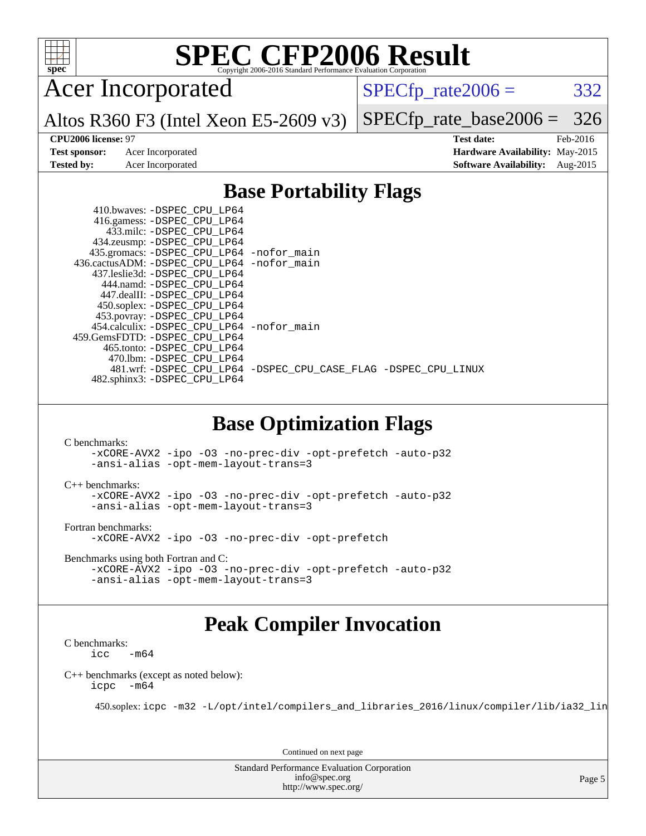

Acer Incorporated

 $SPECTp_rate2006 = 332$ 

Altos R360 F3 (Intel Xeon E5-2609 v3)

[SPECfp\\_rate\\_base2006 =](http://www.spec.org/auto/cpu2006/Docs/result-fields.html#SPECfpratebase2006) 326

**[Test sponsor:](http://www.spec.org/auto/cpu2006/Docs/result-fields.html#Testsponsor)** Acer Incorporated **[Hardware Availability:](http://www.spec.org/auto/cpu2006/Docs/result-fields.html#HardwareAvailability)** May-2015

**[CPU2006 license:](http://www.spec.org/auto/cpu2006/Docs/result-fields.html#CPU2006license)** 97 **[Test date:](http://www.spec.org/auto/cpu2006/Docs/result-fields.html#Testdate)** Feb-2016 **[Tested by:](http://www.spec.org/auto/cpu2006/Docs/result-fields.html#Testedby)** Acer Incorporated **[Software Availability:](http://www.spec.org/auto/cpu2006/Docs/result-fields.html#SoftwareAvailability)** Aug-2015

#### **[Base Portability Flags](http://www.spec.org/auto/cpu2006/Docs/result-fields.html#BasePortabilityFlags)**

| 410.bwaves: -DSPEC CPU LP64<br>416.gamess: -DSPEC_CPU_LP64<br>433.milc: -DSPEC CPU LP64 |                                                                |
|-----------------------------------------------------------------------------------------|----------------------------------------------------------------|
| 434.zeusmp: - DSPEC_CPU_LP64<br>435.gromacs: -DSPEC_CPU_LP64 -nofor_main                |                                                                |
| 436.cactusADM: -DSPEC CPU LP64 -nofor main                                              |                                                                |
| 437.leslie3d: -DSPEC CPU LP64                                                           |                                                                |
| 444.namd: -DSPEC CPU LP64                                                               |                                                                |
| 447.dealII: -DSPEC_CPU LP64                                                             |                                                                |
| 450.soplex: -DSPEC CPU LP64                                                             |                                                                |
| 453.povray: -DSPEC_CPU_LP64                                                             |                                                                |
| 454.calculix: -DSPEC_CPU_LP64 -nofor_main                                               |                                                                |
| 459. GemsFDTD: - DSPEC CPU LP64                                                         |                                                                |
| 465.tonto: - DSPEC CPU LP64                                                             |                                                                |
| 470.1bm: - DSPEC CPU LP64                                                               |                                                                |
|                                                                                         | 481.wrf: -DSPEC CPU_LP64 -DSPEC_CPU_CASE_FLAG -DSPEC_CPU_LINUX |
| 482.sphinx3: -DSPEC_CPU_LP64                                                            |                                                                |
|                                                                                         |                                                                |

#### **[Base Optimization Flags](http://www.spec.org/auto/cpu2006/Docs/result-fields.html#BaseOptimizationFlags)**

[C benchmarks](http://www.spec.org/auto/cpu2006/Docs/result-fields.html#Cbenchmarks): [-xCORE-AVX2](http://www.spec.org/cpu2006/results/res2016q1/cpu2006-20160216-39027.flags.html#user_CCbase_f-xAVX2_5f5fc0cbe2c9f62c816d3e45806c70d7) [-ipo](http://www.spec.org/cpu2006/results/res2016q1/cpu2006-20160216-39027.flags.html#user_CCbase_f-ipo) [-O3](http://www.spec.org/cpu2006/results/res2016q1/cpu2006-20160216-39027.flags.html#user_CCbase_f-O3) [-no-prec-div](http://www.spec.org/cpu2006/results/res2016q1/cpu2006-20160216-39027.flags.html#user_CCbase_f-no-prec-div) [-opt-prefetch](http://www.spec.org/cpu2006/results/res2016q1/cpu2006-20160216-39027.flags.html#user_CCbase_f-opt-prefetch) [-auto-p32](http://www.spec.org/cpu2006/results/res2016q1/cpu2006-20160216-39027.flags.html#user_CCbase_f-auto-p32) [-ansi-alias](http://www.spec.org/cpu2006/results/res2016q1/cpu2006-20160216-39027.flags.html#user_CCbase_f-ansi-alias) [-opt-mem-layout-trans=3](http://www.spec.org/cpu2006/results/res2016q1/cpu2006-20160216-39027.flags.html#user_CCbase_f-opt-mem-layout-trans_a7b82ad4bd7abf52556d4961a2ae94d5)

[C++ benchmarks:](http://www.spec.org/auto/cpu2006/Docs/result-fields.html#CXXbenchmarks) [-xCORE-AVX2](http://www.spec.org/cpu2006/results/res2016q1/cpu2006-20160216-39027.flags.html#user_CXXbase_f-xAVX2_5f5fc0cbe2c9f62c816d3e45806c70d7) [-ipo](http://www.spec.org/cpu2006/results/res2016q1/cpu2006-20160216-39027.flags.html#user_CXXbase_f-ipo) [-O3](http://www.spec.org/cpu2006/results/res2016q1/cpu2006-20160216-39027.flags.html#user_CXXbase_f-O3) [-no-prec-div](http://www.spec.org/cpu2006/results/res2016q1/cpu2006-20160216-39027.flags.html#user_CXXbase_f-no-prec-div) [-opt-prefetch](http://www.spec.org/cpu2006/results/res2016q1/cpu2006-20160216-39027.flags.html#user_CXXbase_f-opt-prefetch) [-auto-p32](http://www.spec.org/cpu2006/results/res2016q1/cpu2006-20160216-39027.flags.html#user_CXXbase_f-auto-p32) [-ansi-alias](http://www.spec.org/cpu2006/results/res2016q1/cpu2006-20160216-39027.flags.html#user_CXXbase_f-ansi-alias) [-opt-mem-layout-trans=3](http://www.spec.org/cpu2006/results/res2016q1/cpu2006-20160216-39027.flags.html#user_CXXbase_f-opt-mem-layout-trans_a7b82ad4bd7abf52556d4961a2ae94d5)

[Fortran benchmarks](http://www.spec.org/auto/cpu2006/Docs/result-fields.html#Fortranbenchmarks):

[-xCORE-AVX2](http://www.spec.org/cpu2006/results/res2016q1/cpu2006-20160216-39027.flags.html#user_FCbase_f-xAVX2_5f5fc0cbe2c9f62c816d3e45806c70d7) [-ipo](http://www.spec.org/cpu2006/results/res2016q1/cpu2006-20160216-39027.flags.html#user_FCbase_f-ipo) [-O3](http://www.spec.org/cpu2006/results/res2016q1/cpu2006-20160216-39027.flags.html#user_FCbase_f-O3) [-no-prec-div](http://www.spec.org/cpu2006/results/res2016q1/cpu2006-20160216-39027.flags.html#user_FCbase_f-no-prec-div) [-opt-prefetch](http://www.spec.org/cpu2006/results/res2016q1/cpu2006-20160216-39027.flags.html#user_FCbase_f-opt-prefetch)

[Benchmarks using both Fortran and C](http://www.spec.org/auto/cpu2006/Docs/result-fields.html#BenchmarksusingbothFortranandC):

```
-xCORE-AVX2 -ipo -O3 -no-prec-div -opt-prefetch -auto-p32
-ansi-alias -opt-mem-layout-trans=3
```
### **[Peak Compiler Invocation](http://www.spec.org/auto/cpu2006/Docs/result-fields.html#PeakCompilerInvocation)**

[C benchmarks](http://www.spec.org/auto/cpu2006/Docs/result-fields.html#Cbenchmarks):  $\text{icc}$  -m64

[C++ benchmarks \(except as noted below\):](http://www.spec.org/auto/cpu2006/Docs/result-fields.html#CXXbenchmarksexceptasnotedbelow) [icpc -m64](http://www.spec.org/cpu2006/results/res2016q1/cpu2006-20160216-39027.flags.html#user_CXXpeak_intel_icpc_64bit_bedb90c1146cab66620883ef4f41a67e)

450.soplex: [icpc -m32 -L/opt/intel/compilers\\_and\\_libraries\\_2016/linux/compiler/lib/ia32\\_lin](http://www.spec.org/cpu2006/results/res2016q1/cpu2006-20160216-39027.flags.html#user_peakCXXLD450_soplex_intel_icpc_b4f50a394bdb4597aa5879c16bc3f5c5)

Continued on next page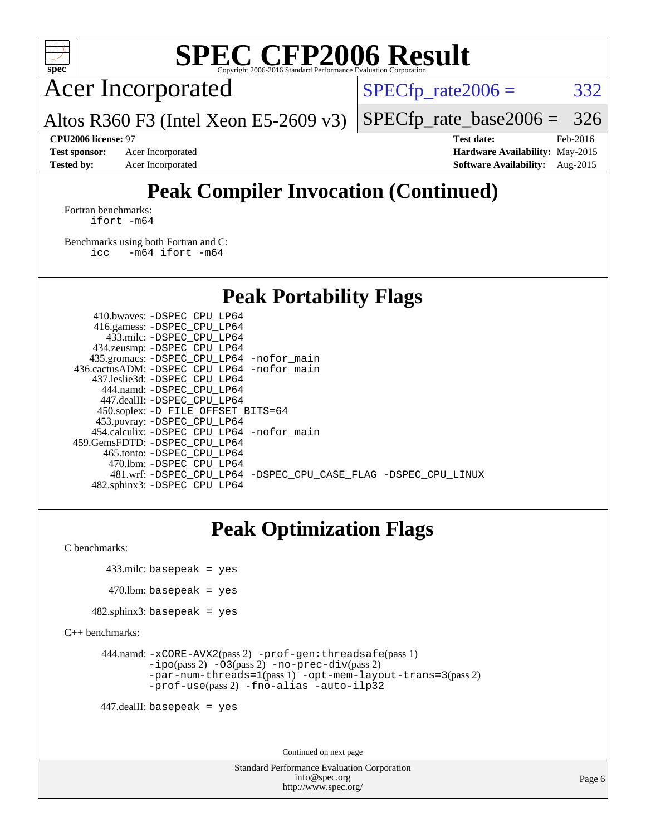

Acer Incorporated

Altos R360 F3 (Intel Xeon E5-2609 v3)

 $SPECTp_rate2006 = 332$ 

[SPECfp\\_rate\\_base2006 =](http://www.spec.org/auto/cpu2006/Docs/result-fields.html#SPECfpratebase2006) 326

**[Test sponsor:](http://www.spec.org/auto/cpu2006/Docs/result-fields.html#Testsponsor)** Acer Incorporated **[Hardware Availability:](http://www.spec.org/auto/cpu2006/Docs/result-fields.html#HardwareAvailability)** May-2015

**[CPU2006 license:](http://www.spec.org/auto/cpu2006/Docs/result-fields.html#CPU2006license)** 97 **[Test date:](http://www.spec.org/auto/cpu2006/Docs/result-fields.html#Testdate)** Feb-2016 **[Tested by:](http://www.spec.org/auto/cpu2006/Docs/result-fields.html#Testedby)** Acer Incorporated **[Software Availability:](http://www.spec.org/auto/cpu2006/Docs/result-fields.html#SoftwareAvailability)** Aug-2015

## **[Peak Compiler Invocation \(Continued\)](http://www.spec.org/auto/cpu2006/Docs/result-fields.html#PeakCompilerInvocation)**

[Fortran benchmarks](http://www.spec.org/auto/cpu2006/Docs/result-fields.html#Fortranbenchmarks): [ifort -m64](http://www.spec.org/cpu2006/results/res2016q1/cpu2006-20160216-39027.flags.html#user_FCpeak_intel_ifort_64bit_ee9d0fb25645d0210d97eb0527dcc06e)

[Benchmarks using both Fortran and C](http://www.spec.org/auto/cpu2006/Docs/result-fields.html#BenchmarksusingbothFortranandC): [icc -m64](http://www.spec.org/cpu2006/results/res2016q1/cpu2006-20160216-39027.flags.html#user_CC_FCpeak_intel_icc_64bit_0b7121f5ab7cfabee23d88897260401c) [ifort -m64](http://www.spec.org/cpu2006/results/res2016q1/cpu2006-20160216-39027.flags.html#user_CC_FCpeak_intel_ifort_64bit_ee9d0fb25645d0210d97eb0527dcc06e)

**[Peak Portability Flags](http://www.spec.org/auto/cpu2006/Docs/result-fields.html#PeakPortabilityFlags)**

 410.bwaves: [-DSPEC\\_CPU\\_LP64](http://www.spec.org/cpu2006/results/res2016q1/cpu2006-20160216-39027.flags.html#suite_peakPORTABILITY410_bwaves_DSPEC_CPU_LP64) 416.gamess: [-DSPEC\\_CPU\\_LP64](http://www.spec.org/cpu2006/results/res2016q1/cpu2006-20160216-39027.flags.html#suite_peakPORTABILITY416_gamess_DSPEC_CPU_LP64) 433.milc: [-DSPEC\\_CPU\\_LP64](http://www.spec.org/cpu2006/results/res2016q1/cpu2006-20160216-39027.flags.html#suite_peakPORTABILITY433_milc_DSPEC_CPU_LP64) 434.zeusmp: [-DSPEC\\_CPU\\_LP64](http://www.spec.org/cpu2006/results/res2016q1/cpu2006-20160216-39027.flags.html#suite_peakPORTABILITY434_zeusmp_DSPEC_CPU_LP64) 435.gromacs: [-DSPEC\\_CPU\\_LP64](http://www.spec.org/cpu2006/results/res2016q1/cpu2006-20160216-39027.flags.html#suite_peakPORTABILITY435_gromacs_DSPEC_CPU_LP64) [-nofor\\_main](http://www.spec.org/cpu2006/results/res2016q1/cpu2006-20160216-39027.flags.html#user_peakLDPORTABILITY435_gromacs_f-nofor_main) 436.cactusADM: [-DSPEC\\_CPU\\_LP64](http://www.spec.org/cpu2006/results/res2016q1/cpu2006-20160216-39027.flags.html#suite_peakPORTABILITY436_cactusADM_DSPEC_CPU_LP64) [-nofor\\_main](http://www.spec.org/cpu2006/results/res2016q1/cpu2006-20160216-39027.flags.html#user_peakLDPORTABILITY436_cactusADM_f-nofor_main) 437.leslie3d: [-DSPEC\\_CPU\\_LP64](http://www.spec.org/cpu2006/results/res2016q1/cpu2006-20160216-39027.flags.html#suite_peakPORTABILITY437_leslie3d_DSPEC_CPU_LP64) 444.namd: [-DSPEC\\_CPU\\_LP64](http://www.spec.org/cpu2006/results/res2016q1/cpu2006-20160216-39027.flags.html#suite_peakPORTABILITY444_namd_DSPEC_CPU_LP64) 447.dealII: [-DSPEC\\_CPU\\_LP64](http://www.spec.org/cpu2006/results/res2016q1/cpu2006-20160216-39027.flags.html#suite_peakPORTABILITY447_dealII_DSPEC_CPU_LP64) 450.soplex: [-D\\_FILE\\_OFFSET\\_BITS=64](http://www.spec.org/cpu2006/results/res2016q1/cpu2006-20160216-39027.flags.html#user_peakPORTABILITY450_soplex_file_offset_bits_64_438cf9856305ebd76870a2c6dc2689ab) 453.povray: [-DSPEC\\_CPU\\_LP64](http://www.spec.org/cpu2006/results/res2016q1/cpu2006-20160216-39027.flags.html#suite_peakPORTABILITY453_povray_DSPEC_CPU_LP64) 454.calculix: [-DSPEC\\_CPU\\_LP64](http://www.spec.org/cpu2006/results/res2016q1/cpu2006-20160216-39027.flags.html#suite_peakPORTABILITY454_calculix_DSPEC_CPU_LP64) [-nofor\\_main](http://www.spec.org/cpu2006/results/res2016q1/cpu2006-20160216-39027.flags.html#user_peakLDPORTABILITY454_calculix_f-nofor_main) 459.GemsFDTD: [-DSPEC\\_CPU\\_LP64](http://www.spec.org/cpu2006/results/res2016q1/cpu2006-20160216-39027.flags.html#suite_peakPORTABILITY459_GemsFDTD_DSPEC_CPU_LP64) 465.tonto: [-DSPEC\\_CPU\\_LP64](http://www.spec.org/cpu2006/results/res2016q1/cpu2006-20160216-39027.flags.html#suite_peakPORTABILITY465_tonto_DSPEC_CPU_LP64) 470.lbm: [-DSPEC\\_CPU\\_LP64](http://www.spec.org/cpu2006/results/res2016q1/cpu2006-20160216-39027.flags.html#suite_peakPORTABILITY470_lbm_DSPEC_CPU_LP64) 481.wrf: [-DSPEC\\_CPU\\_LP64](http://www.spec.org/cpu2006/results/res2016q1/cpu2006-20160216-39027.flags.html#suite_peakPORTABILITY481_wrf_DSPEC_CPU_LP64) [-DSPEC\\_CPU\\_CASE\\_FLAG](http://www.spec.org/cpu2006/results/res2016q1/cpu2006-20160216-39027.flags.html#b481.wrf_peakCPORTABILITY_DSPEC_CPU_CASE_FLAG) [-DSPEC\\_CPU\\_LINUX](http://www.spec.org/cpu2006/results/res2016q1/cpu2006-20160216-39027.flags.html#b481.wrf_peakCPORTABILITY_DSPEC_CPU_LINUX) 482.sphinx3: [-DSPEC\\_CPU\\_LP64](http://www.spec.org/cpu2006/results/res2016q1/cpu2006-20160216-39027.flags.html#suite_peakPORTABILITY482_sphinx3_DSPEC_CPU_LP64)

### **[Peak Optimization Flags](http://www.spec.org/auto/cpu2006/Docs/result-fields.html#PeakOptimizationFlags)**

[C benchmarks](http://www.spec.org/auto/cpu2006/Docs/result-fields.html#Cbenchmarks):

433.milc: basepeak = yes

 $470$ .lbm: basepeak = yes

 $482$ .sphinx3: basepeak = yes

[C++ benchmarks:](http://www.spec.org/auto/cpu2006/Docs/result-fields.html#CXXbenchmarks)

```
 444.namd: -xCORE-AVX2(pass 2) -prof-gen:threadsafe(pass 1)
        -ipo(pass 2) -O3(pass 2) -no-prec-div(pass 2)
        -par-num-threads=1(pass 1) -opt-mem-layout-trans=3(pass 2)
        -prof-use(pass 2) -fno-alias -auto-ilp32
```
447.dealII: basepeak = yes

Continued on next page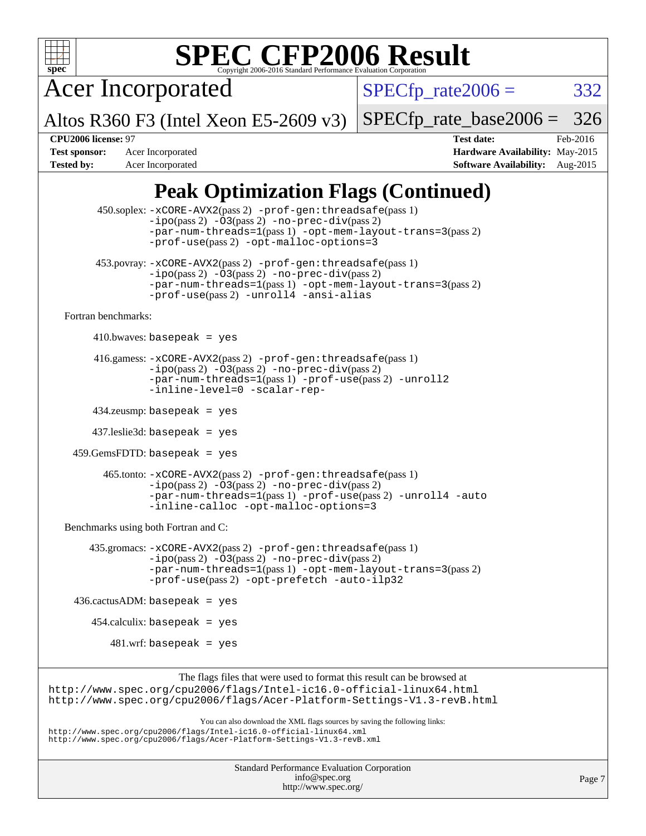

Acer Incorporated

 $SPECTp_rate2006 = 332$ 

Altos R360 F3 (Intel Xeon E5-2609 v3)

[SPECfp\\_rate\\_base2006 =](http://www.spec.org/auto/cpu2006/Docs/result-fields.html#SPECfpratebase2006) 326

**[CPU2006 license:](http://www.spec.org/auto/cpu2006/Docs/result-fields.html#CPU2006license)** 97 **[Test date:](http://www.spec.org/auto/cpu2006/Docs/result-fields.html#Testdate)** Feb-2016 **[Test sponsor:](http://www.spec.org/auto/cpu2006/Docs/result-fields.html#Testsponsor)** Acer Incorporated **[Hardware Availability:](http://www.spec.org/auto/cpu2006/Docs/result-fields.html#HardwareAvailability)** May-2015 **[Tested by:](http://www.spec.org/auto/cpu2006/Docs/result-fields.html#Testedby)** Acer Incorporated **[Software Availability:](http://www.spec.org/auto/cpu2006/Docs/result-fields.html#SoftwareAvailability)** Aug-2015

## **[Peak Optimization Flags \(Continued\)](http://www.spec.org/auto/cpu2006/Docs/result-fields.html#PeakOptimizationFlags)**

|                                      | 450.soplex: -xCORE-AVX2(pass 2) -prof-gen: threadsafe(pass 1)<br>$-ipo(pass 2)$ $-03(pass 2)$ $-no-prec-div(pass 2)$<br>$-par-num-threads=1(pass 1) -opt-mem-layout-trans=3(pass 2)$<br>-prof-use(pass 2) -opt-malloc-options=3      |
|--------------------------------------|--------------------------------------------------------------------------------------------------------------------------------------------------------------------------------------------------------------------------------------|
|                                      | 453. povray: -xCORE-AVX2(pass 2) -prof-gen: threadsafe(pass 1)<br>$-ipo(pass 2)$ $-03(pass 2)$ $-no-prec-div(pass 2)$<br>$-par-num-threads=1(pass 1) -opt-mem-layout-trans=3(pass 2)$<br>-prof-use(pass 2) -unroll4 -ansi-alias      |
| Fortran benchmarks:                  |                                                                                                                                                                                                                                      |
|                                      | 410.bwaves: basepeak = $yes$                                                                                                                                                                                                         |
|                                      | 416.gamess: -xCORE-AVX2(pass 2) -prof-gen: threadsafe(pass 1)<br>$-ipo(pass 2)$ $-03(pass 2)$ $-no-prec-div(pass 2)$<br>$-par-num-threads=1(pass 1) -prof-use(pass 2) -unroll2$<br>-inline-level=0 -scalar-rep-                      |
|                                      | $434$ .zeusmp: basepeak = yes                                                                                                                                                                                                        |
|                                      | $437$ .leslie3d: basepeak = yes                                                                                                                                                                                                      |
|                                      | $459.GemsFDTD: basepeak = yes$                                                                                                                                                                                                       |
|                                      | 465.tonto: -xCORE-AVX2(pass 2) -prof-gen:threadsafe(pass 1)<br>$-ipo(pass 2)$ $-03(pass 2)$ $-no-prec-div(pass 2)$<br>-par-num-threads=1(pass 1) -prof-use(pass 2) -unroll4 -auto<br>-inline-calloc -opt-malloc-options=3            |
| Benchmarks using both Fortran and C: |                                                                                                                                                                                                                                      |
|                                      | 435.gromacs: -xCORE-AVX2(pass 2) -prof-gen: threadsafe(pass 1)<br>$-ipo(pass 2)$ $-03(pass 2)$ $-no-prec-div(pass 2)$<br>$-par-num-threads=1(pass 1) -opt-mem-layout-trans=3(pass 2)$<br>-prof-use(pass 2) -opt-prefetch -auto-ilp32 |
|                                      | $436.cactusADM:basepeak = yes$                                                                                                                                                                                                       |
|                                      | $454$ .calculix: basepeak = yes                                                                                                                                                                                                      |
|                                      | $481.wrf$ : basepeak = yes                                                                                                                                                                                                           |
|                                      | The flags files that were used to format this result can be browsed at                                                                                                                                                               |
|                                      | http://www.spec.org/cpu2006/flags/Intel-ic16.0-official-linux64.html<br>http://www.spec.org/cpu2006/flags/Acer-Platform-Settings-V1.3-revB.html                                                                                      |
|                                      | You can also download the XML flags sources by saving the following links:<br>http://www.spec.org/cpu2006/flags/Intel-ic16.0-official-linux64.xml<br>http://www.spec.org/cpu2006/flags/Acer-Platform-Settings-V1.3-revB.xml          |